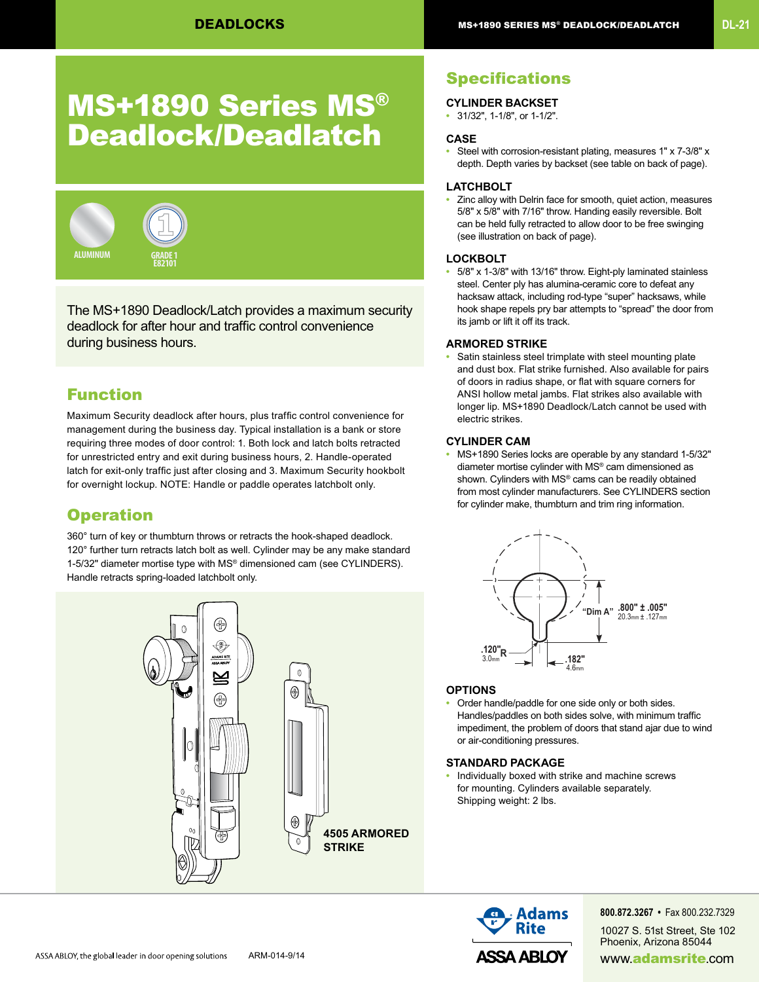## MS+1890 Series MS® Deadlock/Deadlatch



The MS+1890 Deadlock/Latch provides a maximum security deadlock for after hour and traffic control convenience during business hours.

#### Function

Maximum Security deadlock after hours, plus traffic control convenience for management during the business day. Typical installation is a bank or store requiring three modes of door control: 1. Both lock and latch bolts retracted for unrestricted entry and exit during business hours, 2. Handle-operated latch for exit-only traffic just after closing and 3. Maximum Security hookbolt for overnight lockup. NOTE: Handle or paddle operates latchbolt only.

#### **Operation**

360° turn of key or thumbturn throws or retracts the hook-shaped deadlock. 120° further turn retracts latch bolt as well. Cylinder may be any make standard 1-5/32" diameter mortise type with MS® dimensioned cam (see CYLINDERS). Handle retracts spring-loaded latchbolt only.



### **Specifications**

- **CYLINDER BACKSET**
- 31/32", 1-1/8", or 1-1/2".

#### **CASE**

**•** Steel with corrosion-resistant plating, measures 1" x 7-3/8" x depth. Depth varies by backset (see table on back of page).

#### **LATCHBOLT**

**•** Zinc alloy with Delrin face for smooth, quiet action, measures 5/8" x 5/8" with 7/16" throw. Handing easily reversible. Bolt can be held fully retracted to allow door to be free swinging (see illustration on back of page).

#### **LOCKBOLT**

**•** 5/8" x 1-3/8" with 13/16" throw. Eight-ply laminated stainless steel. Center ply has alumina-ceramic core to defeat any hacksaw attack, including rod-type "super" hacksaws, while hook shape repels pry bar attempts to "spread" the door from its jamb or lift it off its track.

#### **ARMORED STRIKE**

**•** Satin stainless steel trimplate with steel mounting plate and dust box. Flat strike furnished. Also available for pairs of doors in radius shape, or flat with square corners for ANSI hollow metal jambs. Flat strikes also available with longer lip. MS+1890 Deadlock/Latch cannot be used with electric strikes.

#### **CYLINDER CAM**

**•** MS+1890 Series locks are operable by any standard 1-5/32" diameter mortise cylinder with MS® cam dimensioned as shown. Cylinders with MS® cams can be readily obtained from most cylinder manufacturers. See CYLINDERS section for cylinder make, thumbturn and trim ring information.



#### **OPTIONS**

**•** Order handle/paddle for one side only or both sides. Handles/paddles on both sides solve, with minimum traffic impediment, the problem of doors that stand ajar due to wind or air-conditioning pressures.

#### **STANDARD PACKAGE**

**•** Individually boxed with strike and machine screws for mounting. Cylinders available separately. Shipping weight: 2 lbs.



**800.872.3267 •** Fax 800.232.7329

10027 S. 51st Street, Ste 102 Phoenix, Arizona 85044 ARM-014-9/14 ARM-014-9/14 **ASSA ABLOY** www.adamsrite.com